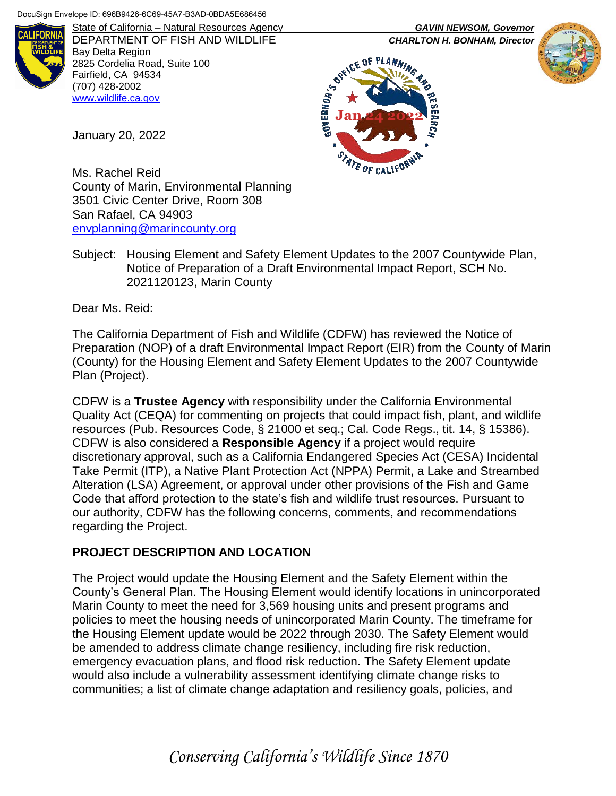

DEPARTMENT OF FISH AND WILDLIFE *CHARLTON H. BONHAM, Director* Bay Delta Region 2825 Cordelia Road, Suite 100 Fairfield, CA 94534 (707) 428-2002 [www.wildlife.ca.gov](http://www.wildlife.ca.gov/)

State of California – Natural Resources Agency *GAVIN NEWSOM, Governor*





Ms. Rachel Reid County of Marin, Environmental Planning 3501 Civic Center Drive, Room 308 San Rafael, CA 94903 [envplanning@marincounty.org](mailto:envplanning@marincounty.org)

Subject: Housing Element and Safety Element Updates to the 2007 Countywide Plan, Notice of Preparation of a Draft Environmental Impact Report, SCH No. 2021120123, Marin County

Dear Ms. Reid:

January 20, 2022

The California Department of Fish and Wildlife (CDFW) has reviewed the Notice of Preparation (NOP) of a draft Environmental Impact Report (EIR) from the County of Marin (County) for the Housing Element and Safety Element Updates to the 2007 Countywide Plan (Project).

CDFW is a **Trustee Agency** with responsibility under the California Environmental Quality Act (CEQA) for commenting on projects that could impact fish, plant, and wildlife resources (Pub. Resources Code, § 21000 et seq.; Cal. Code Regs., tit. 14, § 15386). CDFW is also considered a **Responsible Agency** if a project would require discretionary approval, such as a California Endangered Species Act (CESA) Incidental Take Permit (ITP), a Native Plant Protection Act (NPPA) Permit, a Lake and Streambed Alteration (LSA) Agreement, or approval under other provisions of the Fish and Game Code that afford protection to the state's fish and wildlife trust resources. Pursuant to our authority, CDFW has the following concerns, comments, and recommendations regarding the Project.

## **PROJECT DESCRIPTION AND LOCATION**

The Project would update the Housing Element and the Safety Element within the County's General Plan. The Housing Element would identify locations in unincorporated Marin County to meet the need for 3,569 housing units and present programs and policies to meet the housing needs of unincorporated Marin County. The timeframe for the Housing Element update would be 2022 through 2030. The Safety Element would be amended to address climate change resiliency, including fire risk reduction, emergency evacuation plans, and flood risk reduction. The Safety Element update would also include a vulnerability assessment identifying climate change risks to communities; a list of climate change adaptation and resiliency goals, policies, and

*Conserving California's Wildlife Since 1870*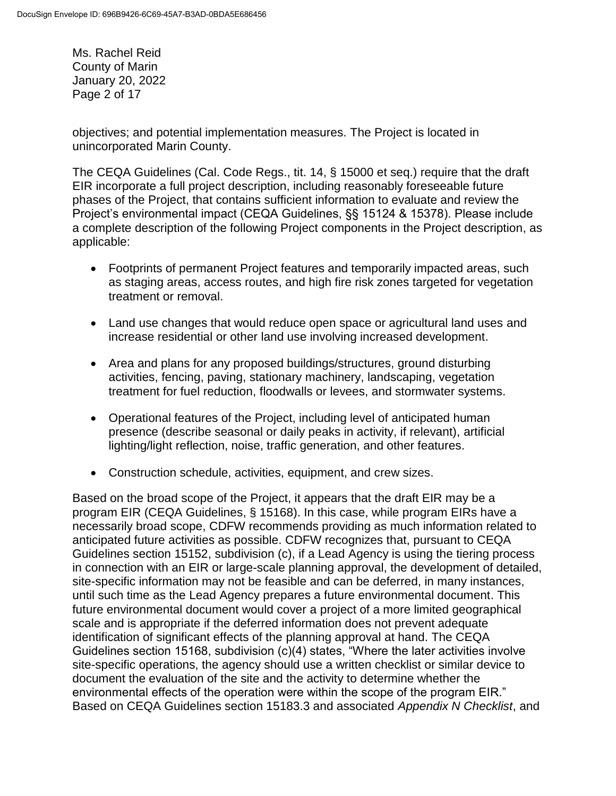Ms. Rachel Reid County of Marin January 20, 2022 Page 2 of 17

objectives; and potential implementation measures. The Project is located in unincorporated Marin County.

The CEQA Guidelines (Cal. Code Regs., tit. 14, § 15000 et seq.) require that the draft EIR incorporate a full project description, including reasonably foreseeable future phases of the Project, that contains sufficient information to evaluate and review the Project's environmental impact (CEQA Guidelines, §§ 15124 & 15378). Please include a complete description of the following Project components in the Project description, as applicable:

- Footprints of permanent Project features and temporarily impacted areas, such as staging areas, access routes, and high fire risk zones targeted for vegetation treatment or removal.
- Land use changes that would reduce open space or agricultural land uses and increase residential or other land use involving increased development.
- Area and plans for any proposed buildings/structures, ground disturbing activities, fencing, paving, stationary machinery, landscaping, vegetation treatment for fuel reduction, floodwalls or levees, and stormwater systems.
- Operational features of the Project, including level of anticipated human presence (describe seasonal or daily peaks in activity, if relevant), artificial lighting/light reflection, noise, traffic generation, and other features.
- Construction schedule, activities, equipment, and crew sizes.

Based on the broad scope of the Project, it appears that the draft EIR may be a program EIR (CEQA Guidelines, § 15168). In this case, while program EIRs have a necessarily broad scope, CDFW recommends providing as much information related to anticipated future activities as possible. CDFW recognizes that, pursuant to CEQA Guidelines section 15152, subdivision (c), if a Lead Agency is using the tiering process in connection with an EIR or large-scale planning approval, the development of detailed, site-specific information may not be feasible and can be deferred, in many instances, until such time as the Lead Agency prepares a future environmental document. This future environmental document would cover a project of a more limited geographical scale and is appropriate if the deferred information does not prevent adequate identification of significant effects of the planning approval at hand. The CEQA Guidelines section 15168, subdivision (c)(4) states, "Where the later activities involve site-specific operations, the agency should use a written checklist or similar device to document the evaluation of the site and the activity to determine whether the environmental effects of the operation were within the scope of the program EIR." Based on CEQA Guidelines section 15183.3 and associated *Appendix N Checklist*, and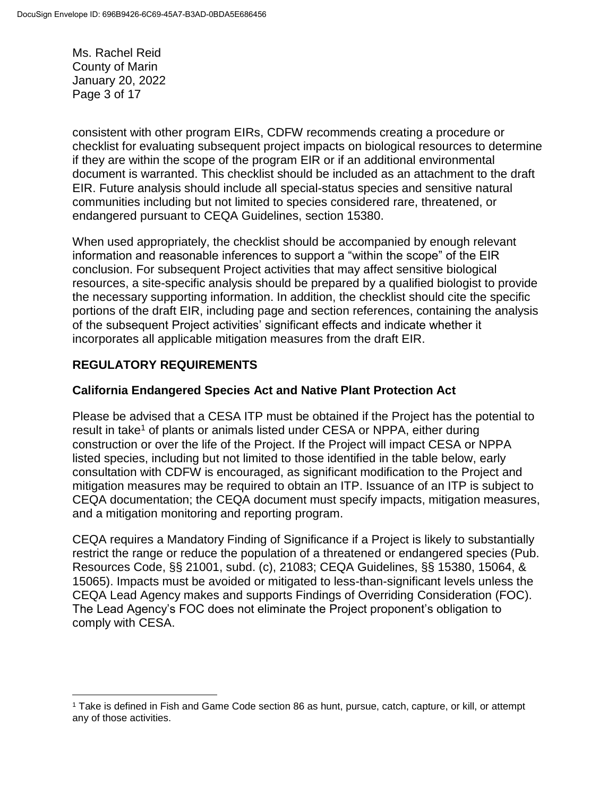Ms. Rachel Reid County of Marin January 20, 2022 Page 3 of 17

consistent with other program EIRs, CDFW recommends creating a procedure or checklist for evaluating subsequent project impacts on biological resources to determine if they are within the scope of the program EIR or if an additional environmental document is warranted. This checklist should be included as an attachment to the draft EIR. Future analysis should include all special-status species and sensitive natural communities including but not limited to species considered rare, threatened, or endangered pursuant to CEQA Guidelines, section 15380.

When used appropriately, the checklist should be accompanied by enough relevant information and reasonable inferences to support a "within the scope" of the EIR conclusion. For subsequent Project activities that may affect sensitive biological resources, a site-specific analysis should be prepared by a qualified biologist to provide the necessary supporting information. In addition, the checklist should cite the specific portions of the draft EIR, including page and section references, containing the analysis of the subsequent Project activities' significant effects and indicate whether it incorporates all applicable mitigation measures from the draft EIR.

### **REGULATORY REQUIREMENTS**

 $\overline{a}$ 

#### **California Endangered Species Act and Native Plant Protection Act**

Please be advised that a CESA ITP must be obtained if the Project has the potential to result in take<sup>1</sup> of plants or animals listed under CESA or NPPA, either during construction or over the life of the Project. If the Project will impact CESA or NPPA listed species, including but not limited to those identified in the table below, early consultation with CDFW is encouraged, as significant modification to the Project and mitigation measures may be required to obtain an ITP. Issuance of an ITP is subject to CEQA documentation; the CEQA document must specify impacts, mitigation measures, and a mitigation monitoring and reporting program.

CEQA requires a Mandatory Finding of Significance if a Project is likely to substantially restrict the range or reduce the population of a threatened or endangered species (Pub. Resources Code, §§ 21001, subd. (c), 21083; CEQA Guidelines, §§ 15380, 15064, & 15065). Impacts must be avoided or mitigated to less-than-significant levels unless the CEQA Lead Agency makes and supports Findings of Overriding Consideration (FOC). The Lead Agency's FOC does not eliminate the Project proponent's obligation to comply with CESA.

<sup>1</sup> Take is defined in Fish and Game Code section 86 as hunt, pursue, catch, capture, or kill, or attempt any of those activities.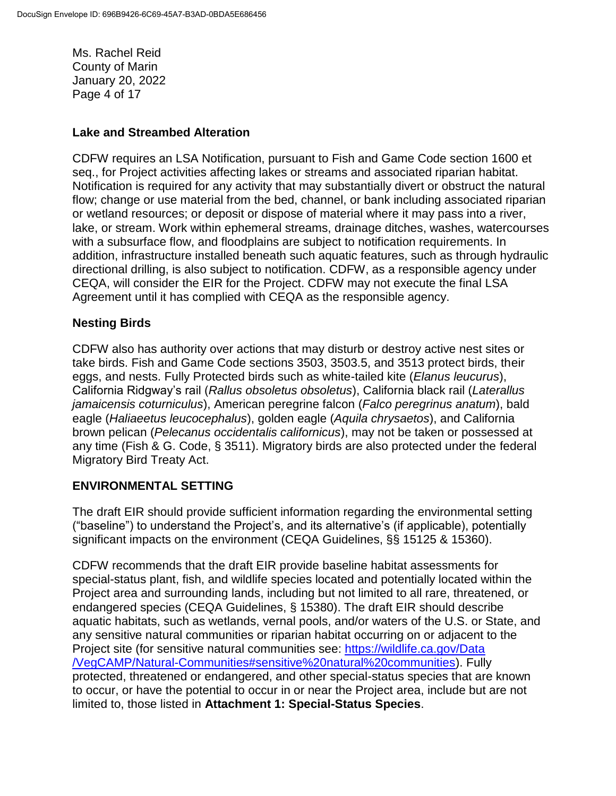Ms. Rachel Reid County of Marin January 20, 2022 Page 4 of 17

#### **Lake and Streambed Alteration**

CDFW requires an LSA Notification, pursuant to Fish and Game Code section 1600 et seq., for Project activities affecting lakes or streams and associated riparian habitat. Notification is required for any activity that may substantially divert or obstruct the natural flow; change or use material from the bed, channel, or bank including associated riparian or wetland resources; or deposit or dispose of material where it may pass into a river, lake, or stream. Work within ephemeral streams, drainage ditches, washes, watercourses with a subsurface flow, and floodplains are subject to notification requirements. In addition, infrastructure installed beneath such aquatic features, such as through hydraulic directional drilling, is also subject to notification. CDFW, as a responsible agency under CEQA, will consider the EIR for the Project. CDFW may not execute the final LSA Agreement until it has complied with CEQA as the responsible agency.

#### **Nesting Birds**

CDFW also has authority over actions that may disturb or destroy active nest sites or take birds. Fish and Game Code sections 3503, 3503.5, and 3513 protect birds, their eggs, and nests. Fully Protected birds such as white-tailed kite (*Elanus leucurus*), California Ridgway's rail (*Rallus obsoletus obsoletus*), California black rail (*Laterallus jamaicensis coturniculus*), American peregrine falcon (*Falco peregrinus anatum*), bald eagle (*Haliaeetus leucocephalus*), golden eagle (*Aquila chrysaetos*), and California brown pelican (*Pelecanus occidentalis californicus*), may not be taken or possessed at any time (Fish & G. Code, § 3511). Migratory birds are also protected under the federal Migratory Bird Treaty Act.

#### **ENVIRONMENTAL SETTING**

The draft EIR should provide sufficient information regarding the environmental setting ("baseline") to understand the Project's, and its alternative's (if applicable), potentially significant impacts on the environment (CEQA Guidelines, §§ 15125 & 15360).

CDFW recommends that the draft EIR provide baseline habitat assessments for special-status plant, fish, and wildlife species located and potentially located within the Project area and surrounding lands, including but not limited to all rare, threatened, or endangered species (CEQA Guidelines, § 15380). The draft EIR should describe aquatic habitats, such as wetlands, vernal pools, and/or waters of the U.S. or State, and any sensitive natural communities or riparian habitat occurring on or adjacent to the Project site (for sensitive natural communities see: [https://wildlife.ca.gov/Data](https://wildlife.ca.gov/Data/VegCAMP/Natural-Communities#sensitive%20natural%20communities) [/VegCAMP/Natural-Communities#sensitive%20natural%20communities\)](https://wildlife.ca.gov/Data/VegCAMP/Natural-Communities#sensitive%20natural%20communities). Fully protected, threatened or endangered, and other special-status species that are known to occur, or have the potential to occur in or near the Project area, include but are not limited to, those listed in **Attachment 1: Special-Status Species**.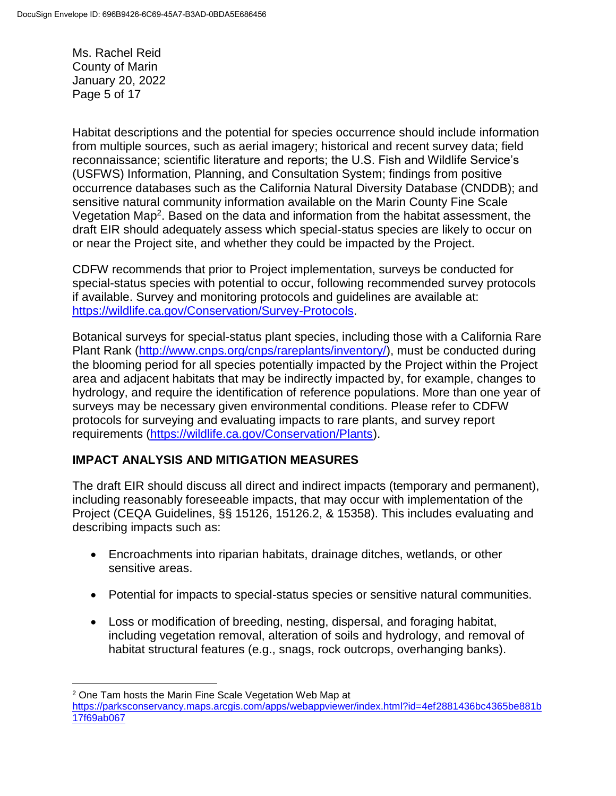Ms. Rachel Reid County of Marin January 20, 2022 Page 5 of 17

 $\overline{a}$ 

Habitat descriptions and the potential for species occurrence should include information from multiple sources, such as aerial imagery; historical and recent survey data; field reconnaissance; scientific literature and reports; the U.S. Fish and Wildlife Service's (USFWS) Information, Planning, and Consultation System; findings from positive occurrence databases such as the California Natural Diversity Database (CNDDB); and sensitive natural community information available on the Marin County Fine Scale Vegetation Map<sup>2</sup>. Based on the data and information from the habitat assessment, the draft EIR should adequately assess which special-status species are likely to occur on or near the Project site, and whether they could be impacted by the Project.

CDFW recommends that prior to Project implementation, surveys be conducted for special-status species with potential to occur, following recommended survey protocols if available. Survey and monitoring protocols and guidelines are available at: [https://wildlife.ca.gov/Conservation/Survey-Protocols.](https://wildlife.ca.gov/Conservation/Survey-Protocols)

Botanical surveys for special-status plant species, including those with a California Rare Plant Rank [\(http://www.cnps.org/cnps/rareplants/inventory/\)](http://www.cnps.org/cnps/rareplants/inventory/), must be conducted during the blooming period for all species potentially impacted by the Project within the Project area and adjacent habitats that may be indirectly impacted by, for example, changes to hydrology, and require the identification of reference populations. More than one year of surveys may be necessary given environmental conditions. Please refer to CDFW protocols for surveying and evaluating impacts to rare plants, and survey report requirements [\(https://wildlife.ca.gov/Conservation/Plants\)](https://wildlife.ca.gov/Conservation/Plants).

## **IMPACT ANALYSIS AND MITIGATION MEASURES**

The draft EIR should discuss all direct and indirect impacts (temporary and permanent), including reasonably foreseeable impacts, that may occur with implementation of the Project (CEQA Guidelines, §§ 15126, 15126.2, & 15358). This includes evaluating and describing impacts such as:

- Encroachments into riparian habitats, drainage ditches, wetlands, or other sensitive areas.
- Potential for impacts to special-status species or sensitive natural communities.
- Loss or modification of breeding, nesting, dispersal, and foraging habitat, including vegetation removal, alteration of soils and hydrology, and removal of habitat structural features (e.g., snags, rock outcrops, overhanging banks).

<sup>2</sup> One Tam hosts the Marin Fine Scale Vegetation Web Map at [https://parksconservancy.maps.arcgis.com/apps/webappviewer/index.html?id=4ef2881436bc4365be881b](https://parksconservancy.maps.arcgis.com/apps/webappviewer/index.html?id=4ef2881436bc4365be881b17f69ab067) [17f69ab067](https://parksconservancy.maps.arcgis.com/apps/webappviewer/index.html?id=4ef2881436bc4365be881b17f69ab067)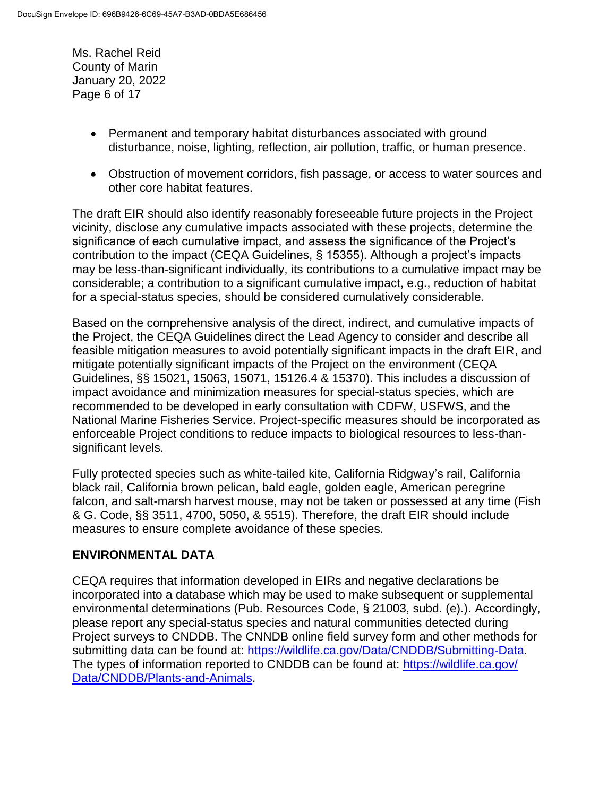Ms. Rachel Reid County of Marin January 20, 2022 Page 6 of 17

- Permanent and temporary habitat disturbances associated with ground disturbance, noise, lighting, reflection, air pollution, traffic, or human presence.
- Obstruction of movement corridors, fish passage, or access to water sources and other core habitat features.

The draft EIR should also identify reasonably foreseeable future projects in the Project vicinity, disclose any cumulative impacts associated with these projects, determine the significance of each cumulative impact, and assess the significance of the Project's contribution to the impact (CEQA Guidelines, § 15355). Although a project's impacts may be less-than-significant individually, its contributions to a cumulative impact may be considerable; a contribution to a significant cumulative impact, e.g., reduction of habitat for a special-status species, should be considered cumulatively considerable.

Based on the comprehensive analysis of the direct, indirect, and cumulative impacts of the Project, the CEQA Guidelines direct the Lead Agency to consider and describe all feasible mitigation measures to avoid potentially significant impacts in the draft EIR, and mitigate potentially significant impacts of the Project on the environment (CEQA Guidelines, §§ 15021, 15063, 15071, 15126.4 & 15370). This includes a discussion of impact avoidance and minimization measures for special-status species, which are recommended to be developed in early consultation with CDFW, USFWS, and the National Marine Fisheries Service. Project-specific measures should be incorporated as enforceable Project conditions to reduce impacts to biological resources to less-thansignificant levels.

Fully protected species such as white-tailed kite, California Ridgway's rail, California black rail, California brown pelican, bald eagle, golden eagle, American peregrine falcon, and salt-marsh harvest mouse, may not be taken or possessed at any time (Fish & G. Code, §§ 3511, 4700, 5050, & 5515). Therefore, the draft EIR should include measures to ensure complete avoidance of these species.

## **ENVIRONMENTAL DATA**

CEQA requires that information developed in EIRs and negative declarations be incorporated into a database which may be used to make subsequent or supplemental environmental determinations (Pub. Resources Code, § 21003, subd. (e).). Accordingly, please report any special-status species and natural communities detected during Project surveys to CNDDB. The CNNDB online field survey form and other methods for submitting data can be found at: [https://wildlife.ca.gov/Data/CNDDB/Submitting-Data.](https://wildlife.ca.gov/Data/CNDDB/Submitting-Data) The types of information reported to CNDDB can be found at: [https://wildlife.ca.gov/](https://wildlife.ca.gov/Data/CNDDB/Plants-and-Animals) [Data/CNDDB/Plants-and-Animals.](https://wildlife.ca.gov/Data/CNDDB/Plants-and-Animals)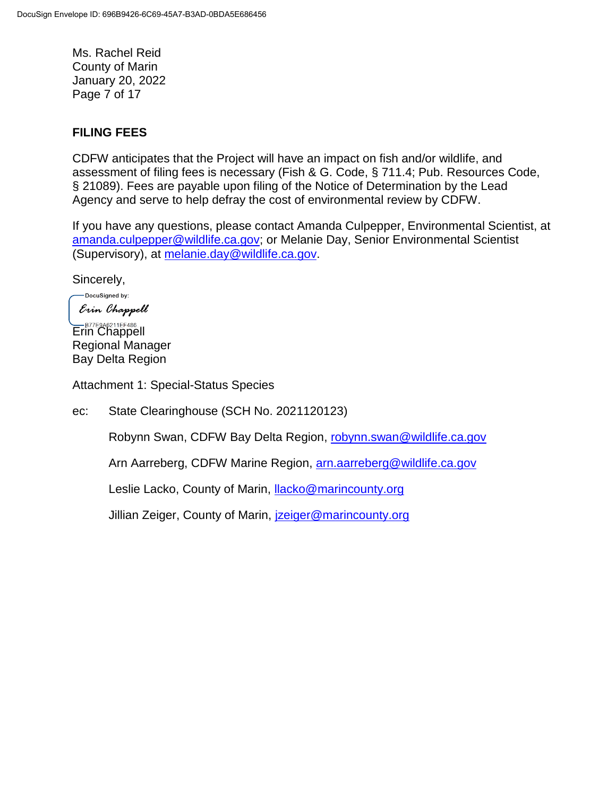Ms. Rachel Reid County of Marin January 20, 2022 Page 7 of 17

### **FILING FEES**

CDFW anticipates that the Project will have an impact on fish and/or wildlife, and assessment of filing fees is necessary (Fish & G. Code, § 711.4; Pub. Resources Code, § 21089). Fees are payable upon filing of the Notice of Determination by the Lead Agency and serve to help defray the cost of environmental review by CDFW.

If you have any questions, please contact Amanda Culpepper, Environmental Scientist, at [amanda.culpepper@wildlife.ca.gov;](mailto:amanda.culpepper@wildlife.ca.gov) or Melanie Day, Senior Environmental Scientist (Supervisory), at [melanie.day@wildlife.ca.gov.](mailto:melanie.day@wildlife.ca.gov)

Sincerely,

-DocuSigned by: Erin Chappell

ER77E9A6211EF486... Regional Manager Bay Delta Region

Attachment 1: Special-Status Species

ec: State Clearinghouse (SCH No. 2021120123)

Robynn Swan, CDFW Bay Delta Region, [robynn.swan@wildlife.ca.gov](mailto:robynn.swan@wildlife.ca.gov)

Arn Aarreberg, CDFW Marine Region, [arn.aarreberg@wildlife.ca.gov](mailto:arn.aarreberg@wildlife.ca.gov)

Leslie Lacko, County of Marin, [llacko@marincounty.org](mailto:llacko@marincounty.org)

Jillian Zeiger, County of Marin, *izeiger@marincounty.org*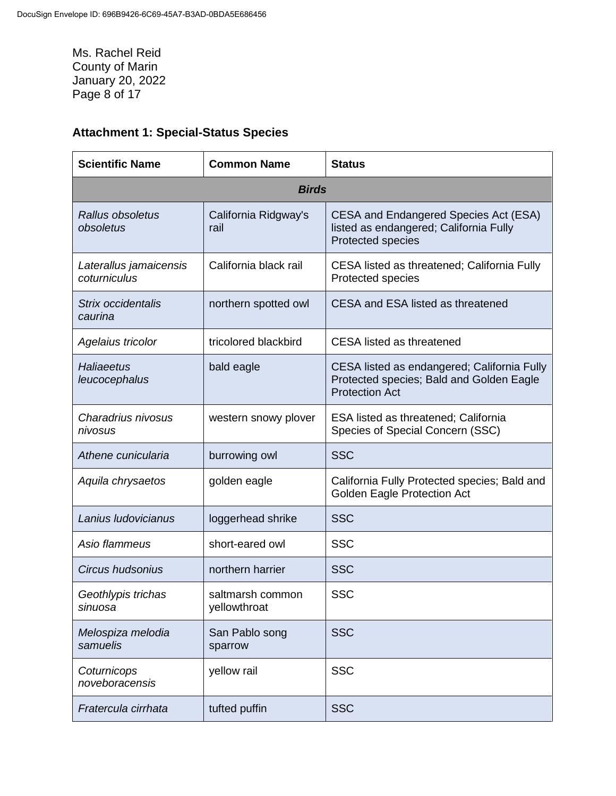Ms. Rachel Reid County of Marin January 20, 2022 Page 8 of 17

# **Attachment 1: Special-Status Species**

| <b>Scientific Name</b>                 | <b>Common Name</b>               | <b>Status</b>                                                                                                    |
|----------------------------------------|----------------------------------|------------------------------------------------------------------------------------------------------------------|
| <b>Birds</b>                           |                                  |                                                                                                                  |
| Rallus obsoletus<br>obsoletus          | California Ridgway's<br>rail     | <b>CESA and Endangered Species Act (ESA)</b><br>listed as endangered; California Fully<br>Protected species      |
| Laterallus jamaicensis<br>coturniculus | California black rail            | CESA listed as threatened; California Fully<br>Protected species                                                 |
| Strix occidentalis<br>caurina          | northern spotted owl             | CESA and ESA listed as threatened                                                                                |
| Agelaius tricolor                      | tricolored blackbird             | <b>CESA</b> listed as threatened                                                                                 |
| Haliaeetus<br>leucocephalus            | bald eagle                       | CESA listed as endangered; California Fully<br>Protected species; Bald and Golden Eagle<br><b>Protection Act</b> |
| Charadrius nivosus<br>nivosus          | western snowy plover             | ESA listed as threatened; California<br>Species of Special Concern (SSC)                                         |
| Athene cunicularia                     | burrowing owl                    | <b>SSC</b>                                                                                                       |
| Aquila chrysaetos                      | golden eagle                     | California Fully Protected species; Bald and<br><b>Golden Eagle Protection Act</b>                               |
| Lanius Iudovicianus                    | loggerhead shrike                | <b>SSC</b>                                                                                                       |
| Asio flammeus                          | short-eared owl                  | <b>SSC</b>                                                                                                       |
| <b>Circus hudsonius</b>                | northern harrier                 | <b>SSC</b>                                                                                                       |
| Geothlypis trichas<br>sinuosa          | saltmarsh common<br>yellowthroat | <b>SSC</b>                                                                                                       |
| Melospiza melodia<br>samuelis          | San Pablo song<br>sparrow        | <b>SSC</b>                                                                                                       |
| Coturnicops<br>noveboracensis          | yellow rail                      | <b>SSC</b>                                                                                                       |
| Fratercula cirrhata                    | tufted puffin                    | <b>SSC</b>                                                                                                       |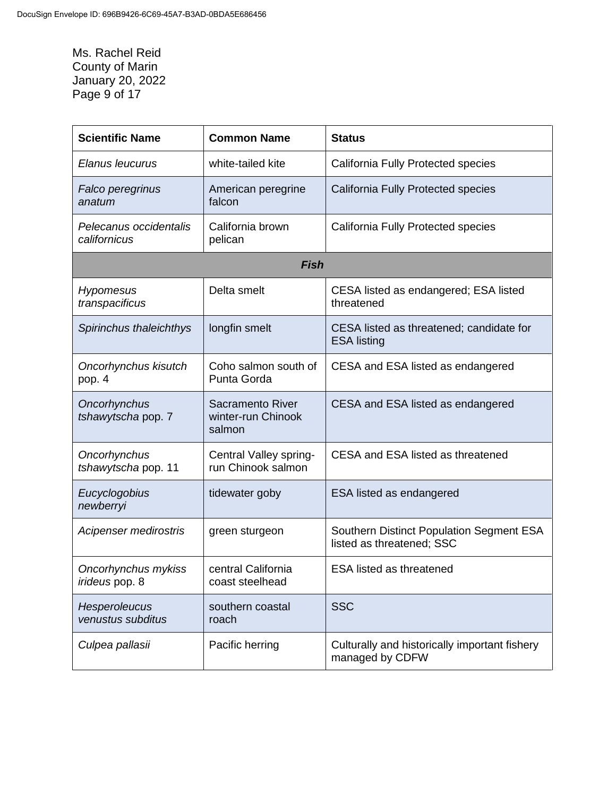Ms. Rachel Reid County of Marin January 20, 2022 Page 9 of 17

| <b>Scientific Name</b>                 | <b>Common Name</b>                               | <b>Status</b>                                                         |
|----------------------------------------|--------------------------------------------------|-----------------------------------------------------------------------|
| Elanus leucurus                        | white-tailed kite                                | <b>California Fully Protected species</b>                             |
| Falco peregrinus<br>anatum             | American peregrine<br>falcon                     | California Fully Protected species                                    |
| Pelecanus occidentalis<br>californicus | California brown<br>pelican                      | <b>California Fully Protected species</b>                             |
|                                        | <b>Fish</b>                                      |                                                                       |
| Hypomesus<br>transpacificus            | Delta smelt                                      | CESA listed as endangered; ESA listed<br>threatened                   |
| Spirinchus thaleichthys                | longfin smelt                                    | CESA listed as threatened; candidate for<br><b>ESA listing</b>        |
| Oncorhynchus kisutch<br>pop. 4         | Coho salmon south of<br>Punta Gorda              | CESA and ESA listed as endangered                                     |
| Oncorhynchus<br>tshawytscha pop. 7     | Sacramento River<br>winter-run Chinook<br>salmon | CESA and ESA listed as endangered                                     |
| Oncorhynchus<br>tshawytscha pop. 11    | Central Valley spring-<br>run Chinook salmon     | CESA and ESA listed as threatened                                     |
| Eucyclogobius<br>newberryi             | tidewater goby                                   | <b>ESA listed as endangered</b>                                       |
| Acipenser medirostris                  | green sturgeon                                   | Southern Distinct Population Segment ESA<br>listed as threatened; SSC |
| Oncorhynchus mykiss<br>irideus pop. 8  | central California<br>coast steelhead            | <b>ESA listed as threatened</b>                                       |
| Hesperoleucus<br>venustus subditus     | southern coastal<br>roach                        | <b>SSC</b>                                                            |
| Culpea pallasii                        | Pacific herring                                  | Culturally and historically important fishery<br>managed by CDFW      |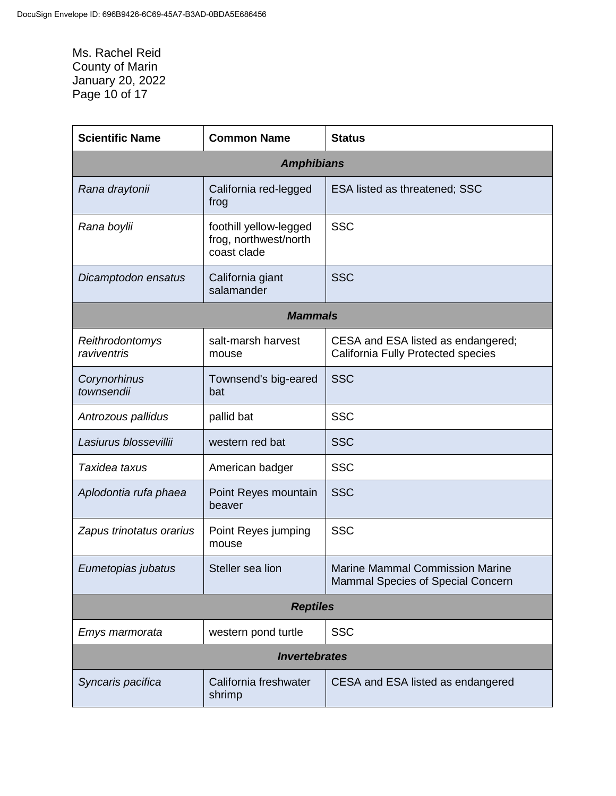Ms. Rachel Reid County of Marin January 20, 2022 Page 10 of 17

| <b>Scientific Name</b>         | <b>Common Name</b>                                             | <b>Status</b>                                                                   |
|--------------------------------|----------------------------------------------------------------|---------------------------------------------------------------------------------|
|                                | <b>Amphibians</b>                                              |                                                                                 |
| Rana draytonii                 | California red-legged<br>frog                                  | <b>ESA listed as threatened; SSC</b>                                            |
| Rana boylii                    | foothill yellow-legged<br>frog, northwest/north<br>coast clade | <b>SSC</b>                                                                      |
| Dicamptodon ensatus            | California giant<br>salamander                                 | <b>SSC</b>                                                                      |
|                                | <b>Mammals</b>                                                 |                                                                                 |
| Reithrodontomys<br>raviventris | salt-marsh harvest<br>mouse                                    | CESA and ESA listed as endangered;<br><b>California Fully Protected species</b> |
| Corynorhinus<br>townsendii     | Townsend's big-eared<br>bat                                    | <b>SSC</b>                                                                      |
| Antrozous pallidus             | pallid bat                                                     | <b>SSC</b>                                                                      |
| Lasiurus blossevillii          | western red bat                                                | <b>SSC</b>                                                                      |
| Taxidea taxus                  | American badger                                                | <b>SSC</b>                                                                      |
| Aplodontia rufa phaea          | Point Reyes mountain<br>beaver                                 | <b>SSC</b>                                                                      |
| Zapus trinotatus orarius       | Point Reyes jumping<br>mouse                                   | <b>SSC</b>                                                                      |
| Eumetopias jubatus             | Steller sea lion                                               | <b>Marine Mammal Commission Marine</b><br>Mammal Species of Special Concern     |
| <b>Reptiles</b>                |                                                                |                                                                                 |
| Emys marmorata                 | western pond turtle                                            | <b>SSC</b>                                                                      |
| <b>Invertebrates</b>           |                                                                |                                                                                 |
| Syncaris pacifica              | California freshwater<br>shrimp                                | CESA and ESA listed as endangered                                               |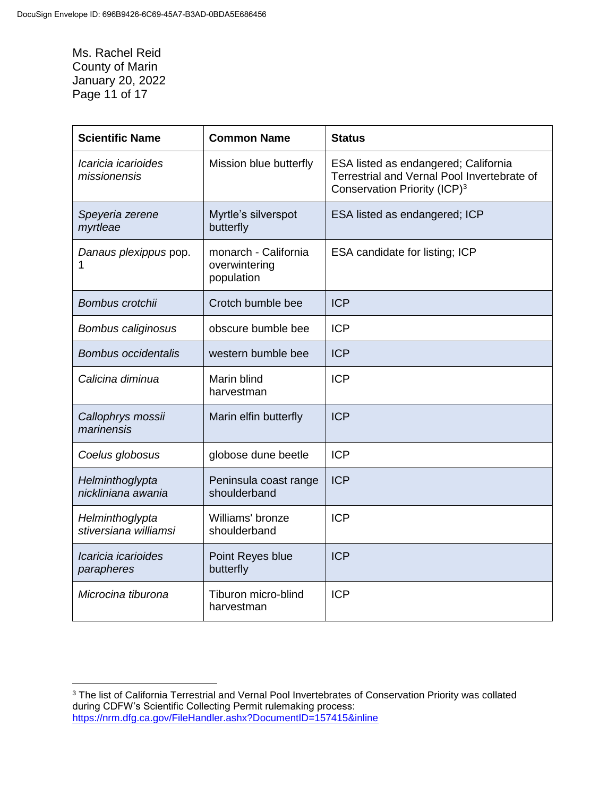Ms. Rachel Reid County of Marin January 20, 2022 Page 11 of 17

| <b>Scientific Name</b>                   | <b>Common Name</b>                                  | <b>Status</b>                                                                                                                   |
|------------------------------------------|-----------------------------------------------------|---------------------------------------------------------------------------------------------------------------------------------|
| Icaricia icarioides<br>missionensis      | Mission blue butterfly                              | ESA listed as endangered; California<br>Terrestrial and Vernal Pool Invertebrate of<br>Conservation Priority (ICP) <sup>3</sup> |
| Speyeria zerene<br>myrtleae              | Myrtle's silverspot<br>butterfly                    | ESA listed as endangered; ICP                                                                                                   |
| Danaus plexippus pop.                    | monarch - California<br>overwintering<br>population | ESA candidate for listing; ICP                                                                                                  |
| Bombus crotchii                          | Crotch bumble bee                                   | <b>ICP</b>                                                                                                                      |
| Bombus caliginosus                       | obscure bumble bee                                  | <b>ICP</b>                                                                                                                      |
| <b>Bombus occidentalis</b>               | western bumble bee                                  | <b>ICP</b>                                                                                                                      |
| Calicina diminua                         | Marin blind<br>harvestman                           | <b>ICP</b>                                                                                                                      |
| Callophrys mossii<br>marinensis          | Marin elfin butterfly                               | <b>ICP</b>                                                                                                                      |
| Coelus globosus                          | globose dune beetle                                 | <b>ICP</b>                                                                                                                      |
| Helminthoglypta<br>nickliniana awania    | Peninsula coast range<br>shoulderband               | <b>ICP</b>                                                                                                                      |
| Helminthoglypta<br>stiversiana williamsi | Williams' bronze<br>shoulderband                    | <b>ICP</b>                                                                                                                      |
| Icaricia icarioides<br>parapheres        | Point Reyes blue<br>butterfly                       | <b>ICP</b>                                                                                                                      |
| Microcina tiburona                       | Tiburon micro-blind<br>harvestman                   | <b>ICP</b>                                                                                                                      |

 $\overline{a}$ <sup>3</sup> The list of California Terrestrial and Vernal Pool Invertebrates of Conservation Priority was collated during CDFW's Scientific Collecting Permit rulemaking process: <https://nrm.dfg.ca.gov/FileHandler.ashx?DocumentID=157415&inline>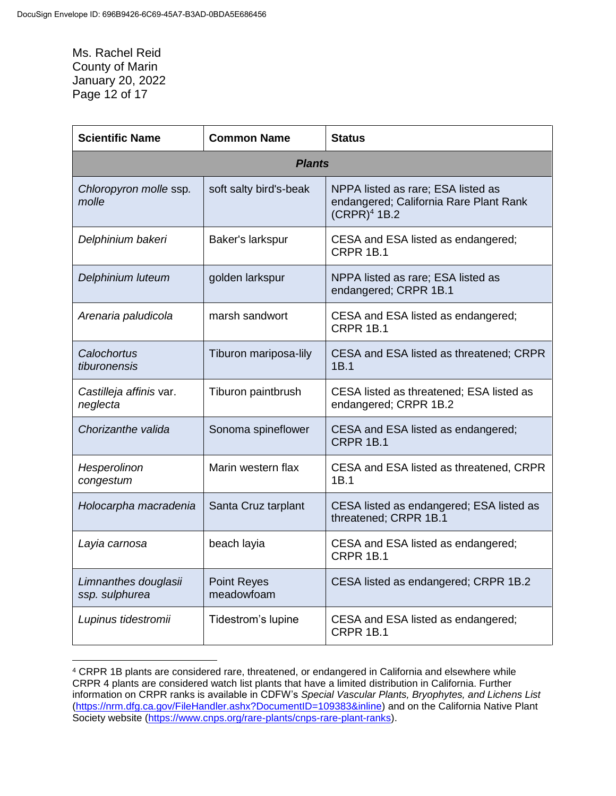Ms. Rachel Reid County of Marin January 20, 2022 Page 12 of 17

 $\overline{a}$ 

| <b>Scientific Name</b>                 | <b>Common Name</b>               | <b>Status</b>                                                                                  |
|----------------------------------------|----------------------------------|------------------------------------------------------------------------------------------------|
|                                        | <b>Plants</b>                    |                                                                                                |
| Chloropyron molle ssp.<br>molle        | soft salty bird's-beak           | NPPA listed as rare; ESA listed as<br>endangered; California Rare Plant Rank<br>$(CRPR)4$ 1B.2 |
| Delphinium bakeri                      | Baker's larkspur                 | CESA and ESA listed as endangered;<br><b>CRPR 1B.1</b>                                         |
| Delphinium luteum                      | golden larkspur                  | NPPA listed as rare; ESA listed as<br>endangered; CRPR 1B.1                                    |
| Arenaria paludicola                    | marsh sandwort                   | CESA and ESA listed as endangered;<br><b>CRPR 1B.1</b>                                         |
| Calochortus<br>tiburonensis            | Tiburon mariposa-lily            | CESA and ESA listed as threatened; CRPR<br>1B.1                                                |
| Castilleja affinis var.<br>neglecta    | Tiburon paintbrush               | CESA listed as threatened; ESA listed as<br>endangered; CRPR 1B.2                              |
| Chorizanthe valida                     | Sonoma spineflower               | CESA and ESA listed as endangered;<br><b>CRPR 1B.1</b>                                         |
| Hesperolinon<br>congestum              | Marin western flax               | CESA and ESA listed as threatened, CRPR<br>1B.1                                                |
| Holocarpha macradenia                  | Santa Cruz tarplant              | CESA listed as endangered; ESA listed as<br>threatened; CRPR 1B.1                              |
| Layia carnosa                          | beach layia                      | CESA and ESA listed as endangered;<br><b>CRPR 1B.1</b>                                         |
| Limnanthes douglasii<br>ssp. sulphurea | <b>Point Reyes</b><br>meadowfoam | CESA listed as endangered; CRPR 1B.2                                                           |
| Lupinus tidestromii                    | Tidestrom's lupine               | CESA and ESA listed as endangered;<br><b>CRPR 1B.1</b>                                         |

<sup>4</sup> CRPR 1B plants are considered rare, threatened, or endangered in California and elsewhere while CRPR 4 plants are considered watch list plants that have a limited distribution in California. Further information on CRPR ranks is available in CDFW's *Special Vascular Plants, Bryophytes, and Lichens List* [\(https://nrm.dfg.ca.gov/FileHandler.ashx?DocumentID=109383&inline\)](https://nrm.dfg.ca.gov/FileHandler.ashx?DocumentID=109383&inline) and on the California Native Plant Society website [\(https://www.cnps.org/rare-plants/cnps-rare-plant-ranks\)](https://www.cnps.org/rare-plants/cnps-rare-plant-ranks).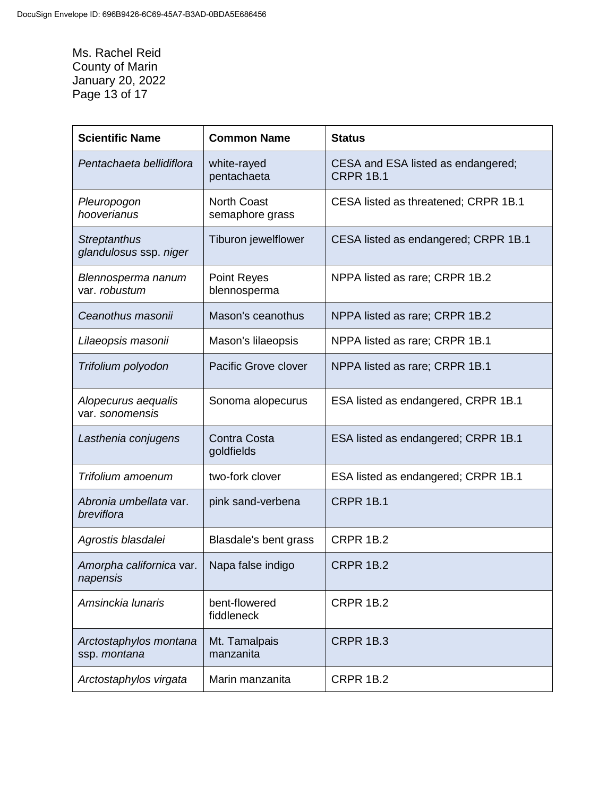Ms. Rachel Reid County of Marin January 20, 2022 Page 13 of 17

| <b>Scientific Name</b>                        | <b>Common Name</b>                    | <b>Status</b>                                          |
|-----------------------------------------------|---------------------------------------|--------------------------------------------------------|
| Pentachaeta bellidiflora                      | white-rayed<br>pentachaeta            | CESA and ESA listed as endangered;<br><b>CRPR 1B.1</b> |
| Pleuropogon<br>hooverianus                    | <b>North Coast</b><br>semaphore grass | CESA listed as threatened; CRPR 1B.1                   |
| <b>Streptanthus</b><br>glandulosus ssp. niger | Tiburon jewelflower                   | CESA listed as endangered; CRPR 1B.1                   |
| Blennosperma nanum<br>var. robustum           | <b>Point Reyes</b><br>blennosperma    | NPPA listed as rare; CRPR 1B.2                         |
| Ceanothus masonii                             | Mason's ceanothus                     | NPPA listed as rare; CRPR 1B.2                         |
| Lilaeopsis masonii                            | Mason's lilaeopsis                    | NPPA listed as rare; CRPR 1B.1                         |
| Trifolium polyodon                            | Pacific Grove clover                  | NPPA listed as rare; CRPR 1B.1                         |
| Alopecurus aequalis<br>var. sonomensis        | Sonoma alopecurus                     | ESA listed as endangered, CRPR 1B.1                    |
| Lasthenia conjugens                           | <b>Contra Costa</b><br>goldfields     | ESA listed as endangered; CRPR 1B.1                    |
| Trifolium amoenum                             | two-fork clover                       | ESA listed as endangered; CRPR 1B.1                    |
| Abronia umbellata var.<br>breviflora          | pink sand-verbena                     | <b>CRPR 1B.1</b>                                       |
| Agrostis blasdalei                            | Blasdale's bent grass                 | <b>CRPR 1B.2</b>                                       |
| Amorpha californica var.<br>napensis          | Napa false indigo                     | <b>CRPR 1B.2</b>                                       |
| Amsinckia lunaris                             | bent-flowered<br>fiddleneck           | <b>CRPR 1B.2</b>                                       |
| Arctostaphylos montana<br>ssp. montana        | Mt. Tamalpais<br>manzanita            | <b>CRPR 1B.3</b>                                       |
| Arctostaphylos virgata                        | Marin manzanita                       | <b>CRPR 1B.2</b>                                       |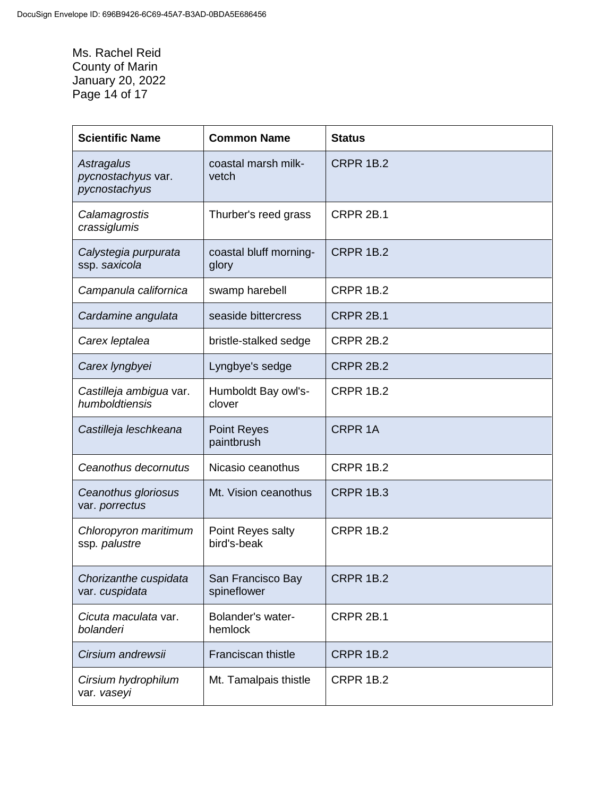Ms. Rachel Reid County of Marin January 20, 2022 Page 14 of 17

| <b>Scientific Name</b>                            | <b>Common Name</b>               | <b>Status</b>    |
|---------------------------------------------------|----------------------------------|------------------|
| Astragalus<br>pycnostachyus var.<br>pycnostachyus | coastal marsh milk-<br>vetch     | <b>CRPR 1B.2</b> |
| Calamagrostis<br>crassiglumis                     | Thurber's reed grass             | CRPR 2B.1        |
| Calystegia purpurata<br>ssp. saxicola             | coastal bluff morning-<br>glory  | <b>CRPR 1B.2</b> |
| Campanula californica                             | swamp harebell                   | <b>CRPR 1B.2</b> |
| Cardamine angulata                                | seaside bittercress              | <b>CRPR 2B.1</b> |
| Carex leptalea                                    | bristle-stalked sedge            | <b>CRPR 2B.2</b> |
| Carex lyngbyei                                    | Lyngbye's sedge                  | <b>CRPR 2B.2</b> |
| Castilleja ambigua var.<br>humboldtiensis         | Humboldt Bay owl's-<br>clover    | <b>CRPR 1B.2</b> |
| Castilleja leschkeana                             | <b>Point Reyes</b><br>paintbrush | <b>CRPR 1A</b>   |
| Ceanothus decornutus                              | Nicasio ceanothus                | <b>CRPR 1B.2</b> |
| Ceanothus gloriosus<br>var. porrectus             | Mt. Vision ceanothus             | <b>CRPR 1B.3</b> |
| Chloropyron maritimum<br>ssp. palustre            | Point Reyes salty<br>bird's-beak | <b>CRPR 1B.2</b> |
| Chorizanthe cuspidata<br>var. cuspidata           | San Francisco Bay<br>spineflower | <b>CRPR 1B.2</b> |
| Cicuta maculata var.<br>bolanderi                 | Bolander's water-<br>hemlock     | <b>CRPR 2B.1</b> |
| Cirsium andrewsii                                 | Franciscan thistle               | <b>CRPR 1B.2</b> |
| Cirsium hydrophilum<br>var. vaseyi                | Mt. Tamalpais thistle            | <b>CRPR 1B.2</b> |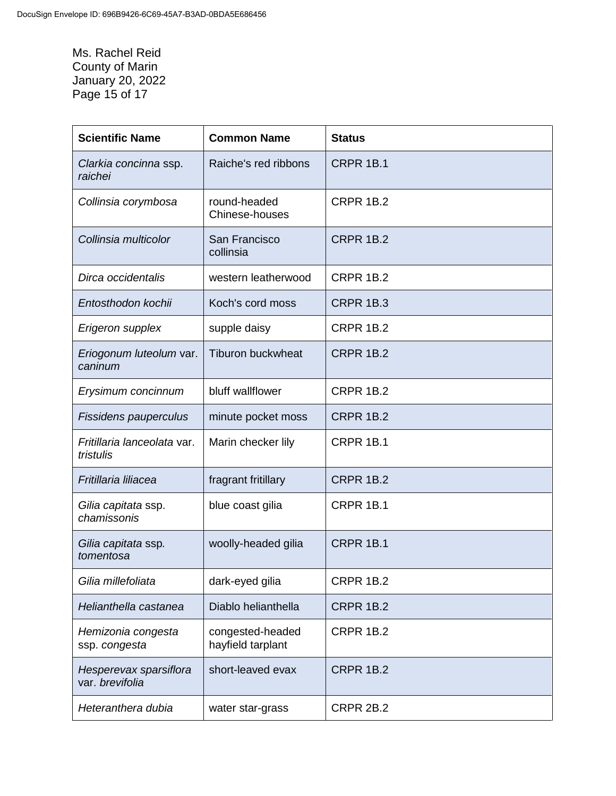Ms. Rachel Reid County of Marin January 20, 2022 Page 15 of 17

| <b>Scientific Name</b>                    | <b>Common Name</b>                    | <b>Status</b>    |
|-------------------------------------------|---------------------------------------|------------------|
| Clarkia concinna ssp.<br>raichei          | Raiche's red ribbons                  | <b>CRPR 1B.1</b> |
| Collinsia corymbosa                       | round-headed<br>Chinese-houses        | <b>CRPR 1B.2</b> |
| Collinsia multicolor                      | San Francisco<br>collinsia            | <b>CRPR 1B.2</b> |
| Dirca occidentalis                        | western leatherwood                   | <b>CRPR 1B.2</b> |
| Entosthodon kochii                        | Koch's cord moss                      | <b>CRPR 1B.3</b> |
| Erigeron supplex                          | supple daisy                          | <b>CRPR 1B.2</b> |
| Eriogonum luteolum var.<br>caninum        | <b>Tiburon buckwheat</b>              | <b>CRPR 1B.2</b> |
| Erysimum concinnum                        | bluff wallflower                      | <b>CRPR 1B.2</b> |
| Fissidens pauperculus                     | minute pocket moss                    | <b>CRPR 1B.2</b> |
| Fritillaria lanceolata var.<br>tristulis  | Marin checker lily                    | <b>CRPR 1B.1</b> |
| Fritillaria liliacea                      | fragrant fritillary                   | <b>CRPR 1B.2</b> |
| Gilia capitata ssp.<br>chamissonis        | blue coast gilia                      | <b>CRPR 1B.1</b> |
| Gilia capitata ssp.<br>tomentosa          | woolly-headed gilia                   | <b>CRPR 1B.1</b> |
| Gilia millefoliata                        | dark-eyed gilia                       | <b>CRPR 1B.2</b> |
| Helianthella castanea                     | Diablo helianthella                   | <b>CRPR 1B.2</b> |
| Hemizonia congesta<br>ssp. congesta       | congested-headed<br>hayfield tarplant | <b>CRPR 1B.2</b> |
| Hesperevax sparsiflora<br>var. brevifolia | short-leaved evax                     | <b>CRPR 1B.2</b> |
| Heteranthera dubia                        | water star-grass                      | CRPR 2B.2        |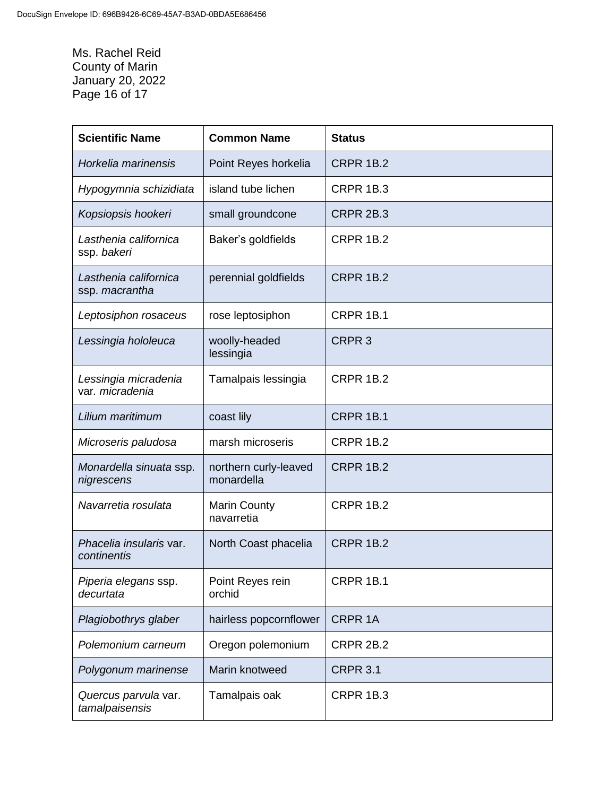Ms. Rachel Reid County of Marin January 20, 2022 Page 16 of 17

| <b>Scientific Name</b>                  | <b>Common Name</b>                  | <b>Status</b>     |
|-----------------------------------------|-------------------------------------|-------------------|
| Horkelia marinensis                     | Point Reyes horkelia                | <b>CRPR 1B.2</b>  |
| Hypogymnia schizidiata                  | island tube lichen                  | <b>CRPR 1B.3</b>  |
| Kopsiopsis hookeri                      | small groundcone                    | <b>CRPR 2B.3</b>  |
| Lasthenia californica<br>ssp. bakeri    | Baker's goldfields                  | <b>CRPR 1B.2</b>  |
| Lasthenia californica<br>ssp. macrantha | perennial goldfields                | <b>CRPR 1B.2</b>  |
| Leptosiphon rosaceus                    | rose leptosiphon                    | <b>CRPR 1B.1</b>  |
| Lessingia hololeuca                     | woolly-headed<br>lessingia          | CRPR <sub>3</sub> |
| Lessingia micradenia<br>var. micradenia | Tamalpais lessingia                 | <b>CRPR 1B.2</b>  |
| Lilium maritimum                        | coast lily                          | <b>CRPR 1B.1</b>  |
| Microseris paludosa                     | marsh microseris                    | <b>CRPR 1B.2</b>  |
| Monardella sinuata ssp.<br>nigrescens   | northern curly-leaved<br>monardella | <b>CRPR 1B.2</b>  |
| Navarretia rosulata                     | <b>Marin County</b><br>navarretia   | <b>CRPR 1B.2</b>  |
| Phacelia insularis var.<br>continentis  | North Coast phacelia                | <b>CRPR 1B.2</b>  |
| Piperia elegans ssp.<br>decurtata       | Point Reyes rein<br>orchid          | <b>CRPR 1B.1</b>  |
| Plagiobothrys glaber                    | hairless popcornflower              | <b>CRPR 1A</b>    |
| Polemonium carneum                      | Oregon polemonium                   | <b>CRPR 2B.2</b>  |
| Polygonum marinense                     | Marin knotweed                      | <b>CRPR 3.1</b>   |
| Quercus parvula var.<br>tamalpaisensis  | Tamalpais oak                       | <b>CRPR 1B.3</b>  |